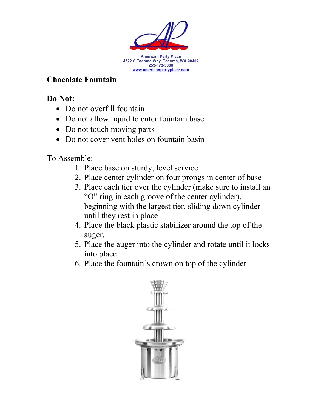

## **Chocolate Fountain**

## **Do Not:**

- Do not overfill fountain
- Do not allow liquid to enter fountain base
- Do not touch moving parts
- Do not cover vent holes on fountain basin

## To Assemble:

- 1. Place base on sturdy, level service
- 2. Place center cylinder on four prongs in center of base
- 3. Place each tier over the cylinder (make sure to install an "O" ring in each groove of the center cylinder), beginning with the largest tier, sliding down cylinder until they rest in place
- 4. Place the black plastic stabilizer around the top of the auger.
- 5. Place the auger into the cylinder and rotate until it locks into place
- 6. Place the fountain's crown on top of the cylinder